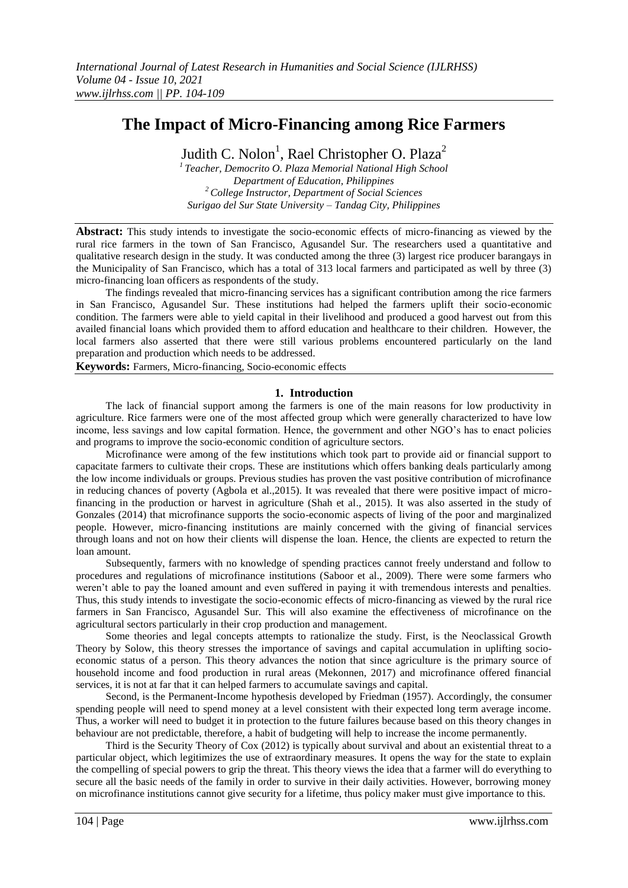# **The Impact of Micro-Financing among Rice Farmers**

Judith C. Nolon<sup>1</sup>, Rael Christopher O. Plaza<sup>2</sup>

*<sup>1</sup>Teacher, Democrito O. Plaza Memorial National High School Department of Education, Philippines <sup>2</sup>College Instructor, Department of Social Sciences Surigao del Sur State University – Tandag City, Philippines*

**Abstract:** This study intends to investigate the socio-economic effects of micro-financing as viewed by the rural rice farmers in the town of San Francisco, Agusandel Sur. The researchers used a quantitative and qualitative research design in the study. It was conducted among the three (3) largest rice producer barangays in the Municipality of San Francisco, which has a total of 313 local farmers and participated as well by three (3) micro-financing loan officers as respondents of the study.

The findings revealed that micro-financing services has a significant contribution among the rice farmers in San Francisco, Agusandel Sur. These institutions had helped the farmers uplift their socio-economic condition. The farmers were able to yield capital in their livelihood and produced a good harvest out from this availed financial loans which provided them to afford education and healthcare to their children. However, the local farmers also asserted that there were still various problems encountered particularly on the land preparation and production which needs to be addressed.

**Keywords:** Farmers, Micro-financing, Socio-economic effects

#### **1. Introduction**

The lack of financial support among the farmers is one of the main reasons for low productivity in agriculture. Rice farmers were one of the most affected group which were generally characterized to have low income, less savings and low capital formation. Hence, the government and other NGO's has to enact policies and programs to improve the socio-economic condition of agriculture sectors.

Microfinance were among of the few institutions which took part to provide aid or financial support to capacitate farmers to cultivate their crops. These are institutions which offers banking deals particularly among the low income individuals or groups. Previous studies has proven the vast positive contribution of microfinance in reducing chances of poverty (Agbola et al.,2015). It was revealed that there were positive impact of microfinancing in the production or harvest in agriculture (Shah et al., 2015). It was also asserted in the study of Gonzales (2014) that microfinance supports the socio-economic aspects of living of the poor and marginalized people. However, micro-financing institutions are mainly concerned with the giving of financial services through loans and not on how their clients will dispense the loan. Hence, the clients are expected to return the loan amount.

Subsequently, farmers with no knowledge of spending practices cannot freely understand and follow to procedures and regulations of microfinance institutions (Saboor et al., 2009). There were some farmers who weren't able to pay the loaned amount and even suffered in paying it with tremendous interests and penalties. Thus, this study intends to investigate the socio-economic effects of micro-financing as viewed by the rural rice farmers in San Francisco, Agusandel Sur. This will also examine the effectiveness of microfinance on the agricultural sectors particularly in their crop production and management.

Some theories and legal concepts attempts to rationalize the study. First, is the Neoclassical Growth Theory by Solow, this theory stresses the importance of savings and capital accumulation in uplifting socioeconomic status of a person. This theory advances the notion that since agriculture is the primary source of household income and food production in rural areas (Mekonnen, 2017) and microfinance offered financial services, it is not at far that it can helped farmers to accumulate savings and capital.

Second, is the Permanent-Income hypothesis developed by Friedman (1957). Accordingly, the consumer spending people will need to spend money at a level consistent with their expected long term average income. Thus, a worker will need to budget it in protection to the future failures because based on this theory changes in behaviour are not predictable, therefore, a habit of budgeting will help to increase the income permanently.

Third is the Security Theory of Cox (2012) is typically about survival and about an existential threat to a particular object, which legitimizes the use of extraordinary measures. It opens the way for the state to explain the compelling of special powers to grip the threat. This theory views the idea that a farmer will do everything to secure all the basic needs of the family in order to survive in their daily activities. However, borrowing money on microfinance institutions cannot give security for a lifetime, thus policy maker must give importance to this.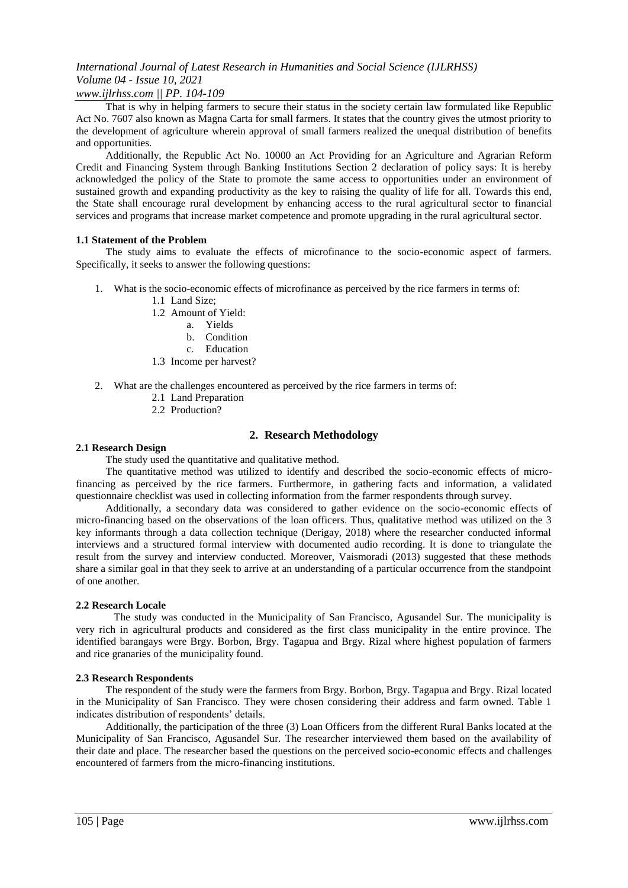### *www.ijlrhss.com || PP. 104-109*

That is why in helping farmers to secure their status in the society certain law formulated like Republic Act No. 7607 also known as Magna Carta for small farmers. It states that the country gives the utmost priority to the development of agriculture wherein approval of small farmers realized the unequal distribution of benefits and opportunities.

Additionally, the Republic Act No. 10000 an Act Providing for an Agriculture and Agrarian Reform Credit and Financing System through Banking Institutions Section 2 declaration of policy says: It is hereby acknowledged the policy of the State to promote the same access to opportunities under an environment of sustained growth and expanding productivity as the key to raising the quality of life for all. Towards this end, the State shall encourage rural development by enhancing access to the rural agricultural sector to financial services and programs that increase market competence and promote upgrading in the rural agricultural sector.

#### **1.1 Statement of the Problem**

The study aims to evaluate the effects of microfinance to the socio-economic aspect of farmers. Specifically, it seeks to answer the following questions:

- 1. What is the socio-economic effects of microfinance as perceived by the rice farmers in terms of:
	- 1.1 Land Size;
	- 1.2 Amount of Yield:
		- a. Yields
		- b. Condition
		- c. Education
	- 1.3 Income per harvest?
- 2. What are the challenges encountered as perceived by the rice farmers in terms of:
	- 2.1 Land Preparation
	- 2.2 Production?

### **2. Research Methodology**

#### **2.1 Research Design**

The study used the quantitative and qualitative method.

The quantitative method was utilized to identify and described the socio-economic effects of microfinancing as perceived by the rice farmers. Furthermore, in gathering facts and information, a validated questionnaire checklist was used in collecting information from the farmer respondents through survey.

Additionally, a secondary data was considered to gather evidence on the socio-economic effects of micro-financing based on the observations of the loan officers. Thus, qualitative method was utilized on the 3 key informants through a data collection technique (Derigay, 2018) where the researcher conducted informal interviews and a structured formal interview with documented audio recording. It is done to triangulate the result from the survey and interview conducted. Moreover, Vaismoradi (2013) suggested that these methods share a similar goal in that they seek to arrive at an understanding of a particular occurrence from the standpoint of one another.

#### **2.2 Research Locale**

The study was conducted in the Municipality of San Francisco, Agusandel Sur. The municipality is very rich in agricultural products and considered as the first class municipality in the entire province. The identified barangays were Brgy. Borbon, Brgy. Tagapua and Brgy. Rizal where highest population of farmers and rice granaries of the municipality found.

#### **2.3 Research Respondents**

The respondent of the study were the farmers from Brgy. Borbon, Brgy. Tagapua and Brgy. Rizal located in the Municipality of San Francisco. They were chosen considering their address and farm owned. Table 1 indicates distribution of respondents' details.

Additionally, the participation of the three (3) Loan Officers from the different Rural Banks located at the Municipality of San Francisco, Agusandel Sur. The researcher interviewed them based on the availability of their date and place. The researcher based the questions on the perceived socio-economic effects and challenges encountered of farmers from the micro-financing institutions.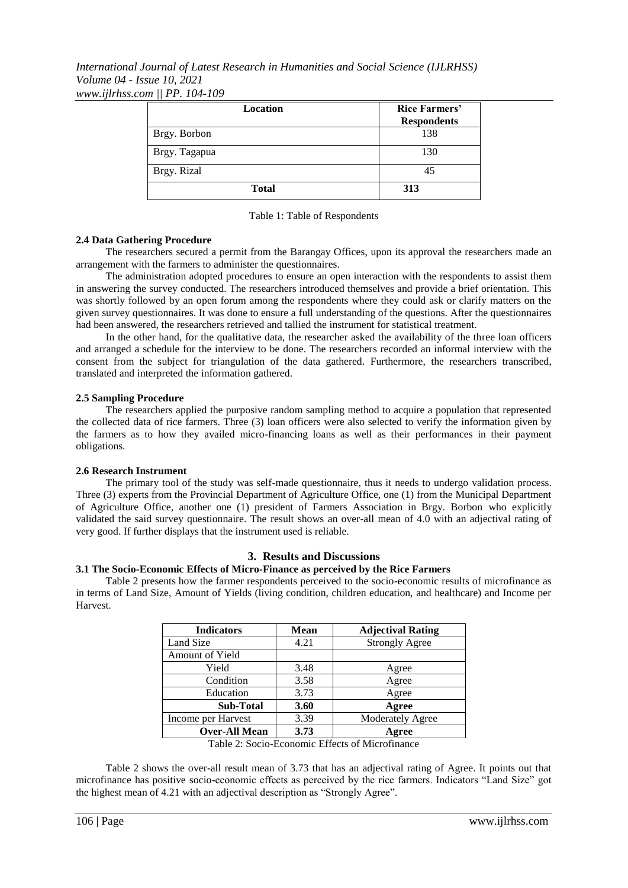*International Journal of Latest Research in Humanities and Social Science (IJLRHSS) Volume 04 - Issue 10, 2021 www.ijlrhss.com || PP. 104-109*

| <b>Location</b> | <b>Rice Farmers'</b><br><b>Respondents</b> |  |
|-----------------|--------------------------------------------|--|
| Brgy. Borbon    | 138                                        |  |
| Brgy. Tagapua   | 130                                        |  |
| Brgy. Rizal     | 45                                         |  |
| <b>Total</b>    | 313                                        |  |

Table 1: Table of Respondents

#### **2.4 Data Gathering Procedure**

The researchers secured a permit from the Barangay Offices, upon its approval the researchers made an arrangement with the farmers to administer the questionnaires.

The administration adopted procedures to ensure an open interaction with the respondents to assist them in answering the survey conducted. The researchers introduced themselves and provide a brief orientation. This was shortly followed by an open forum among the respondents where they could ask or clarify matters on the given survey questionnaires. It was done to ensure a full understanding of the questions. After the questionnaires had been answered, the researchers retrieved and tallied the instrument for statistical treatment.

In the other hand, for the qualitative data, the researcher asked the availability of the three loan officers and arranged a schedule for the interview to be done. The researchers recorded an informal interview with the consent from the subject for triangulation of the data gathered. Furthermore, the researchers transcribed, translated and interpreted the information gathered.

#### **2.5 Sampling Procedure**

The researchers applied the purposive random sampling method to acquire a population that represented the collected data of rice farmers. Three (3) loan officers were also selected to verify the information given by the farmers as to how they availed micro-financing loans as well as their performances in their payment obligations.

#### **2.6 Research Instrument**

The primary tool of the study was self-made questionnaire, thus it needs to undergo validation process. Three (3) experts from the Provincial Department of Agriculture Office, one (1) from the Municipal Department of Agriculture Office, another one (1) president of Farmers Association in Brgy. Borbon who explicitly validated the said survey questionnaire. The result shows an over-all mean of 4.0 with an adjectival rating of very good. If further displays that the instrument used is reliable.

#### **3. Results and Discussions**

#### **3.1 The Socio-Economic Effects of Micro-Finance as perceived by the Rice Farmers**

Table 2 presents how the farmer respondents perceived to the socio-economic results of microfinance as in terms of Land Size, Amount of Yields (living condition, children education, and healthcare) and Income per Harvest.

| <b>Mean</b> | <b>Adjectival Rating</b>                                                                                                                                                                                                                                                                                        |
|-------------|-----------------------------------------------------------------------------------------------------------------------------------------------------------------------------------------------------------------------------------------------------------------------------------------------------------------|
| 4.21        | <b>Strongly Agree</b>                                                                                                                                                                                                                                                                                           |
|             |                                                                                                                                                                                                                                                                                                                 |
| 3.48        | Agree                                                                                                                                                                                                                                                                                                           |
| 3.58        | Agree                                                                                                                                                                                                                                                                                                           |
| 3.73        | Agree                                                                                                                                                                                                                                                                                                           |
| 3.60        | Agree                                                                                                                                                                                                                                                                                                           |
| 3.39        | <b>Moderately Agree</b>                                                                                                                                                                                                                                                                                         |
| 3.73        | Agree                                                                                                                                                                                                                                                                                                           |
|             | $\mathbf{T}$ . 1. 1. $\mathbf{A}$ , $\mathbf{C}$ , $\mathbf{C}$ , $\mathbf{D}$ , $\mathbf{C}$ , $\mathbf{D}$ , $\mathbf{C}$ , $\mathbf{C}$ , $\mathbf{A}$ , $\mathbf{C}$ , $\mathbf{C}$ , $\mathbf{C}$ , $\mathbf{C}$ , $\mathbf{C}$ , $\mathbf{C}$ , $\mathbf{C}$ , $\mathbf{C}$ , $\mathbf{C}$ , $\mathbf{C}$ |

Table 2: Socio-Economic Effects of Microfinance

Table 2 shows the over-all result mean of 3.73 that has an adjectival rating of Agree. It points out that microfinance has positive socio-economic effects as perceived by the rice farmers. Indicators "Land Size" got the highest mean of 4.21 with an adjectival description as "Strongly Agree".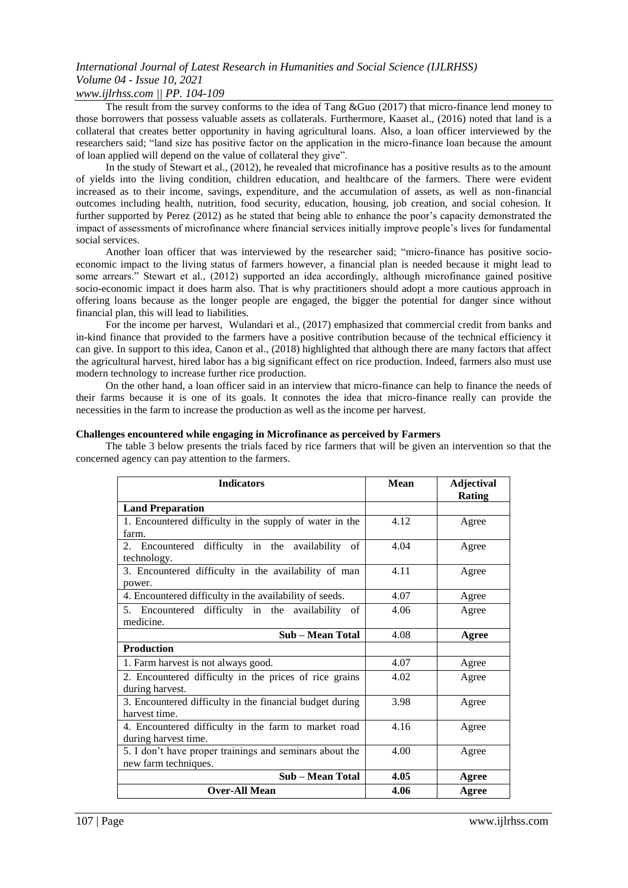### *www.ijlrhss.com || PP. 104-109*

The result from the survey conforms to the idea of Tang &Guo (2017) that micro-finance lend money to those borrowers that possess valuable assets as collaterals. Furthermore, Kaaset al., (2016) noted that land is a collateral that creates better opportunity in having agricultural loans. Also, a loan officer interviewed by the researchers said; "land size has positive factor on the application in the micro-finance loan because the amount of loan applied will depend on the value of collateral they give".

In the study of Stewart et al., (2012), he revealed that microfinance has a positive results as to the amount of yields into the living condition, children education, and healthcare of the farmers. There were evident increased as to their income, savings, expenditure, and the accumulation of assets, as well as non-financial outcomes including health, nutrition, food security, education, housing, job creation, and social cohesion. It further supported by Perez (2012) as he stated that being able to enhance the poor's capacity demonstrated the impact of assessments of microfinance where financial services initially improve people's lives for fundamental social services.

Another loan officer that was interviewed by the researcher said; "micro-finance has positive socioeconomic impact to the living status of farmers however, a financial plan is needed because it might lead to some arrears." Stewart et al., (2012) supported an idea accordingly, although microfinance gained positive socio-economic impact it does harm also. That is why practitioners should adopt a more cautious approach in offering loans because as the longer people are engaged, the bigger the potential for danger since without financial plan, this will lead to liabilities.

For the income per harvest, Wulandari et al., (2017) emphasized that commercial credit from banks and in-kind finance that provided to the farmers have a positive contribution because of the technical efficiency it can give. In support to this idea, Canon et al., (2018) highlighted that although there are many factors that affect the agricultural harvest, hired labor has a big significant effect on rice production. Indeed, farmers also must use modern technology to increase further rice production.

On the other hand, a loan officer said in an interview that micro-finance can help to finance the needs of their farms because it is one of its goals. It connotes the idea that micro-finance really can provide the necessities in the farm to increase the production as well as the income per harvest.

#### **Challenges encountered while engaging in Microfinance as perceived by Farmers**

The table 3 below presents the trials faced by rice farmers that will be given an intervention so that the concerned agency can pay attention to the farmers.

| <b>Indicators</b>                                                               | <b>Mean</b> | <b>Adjectival</b><br><b>Rating</b> |
|---------------------------------------------------------------------------------|-------------|------------------------------------|
| <b>Land Preparation</b>                                                         |             |                                    |
| 1. Encountered difficulty in the supply of water in the<br>farm.                | 4.12        | Agree                              |
| Encountered difficulty in the availability of<br>2.<br>technology.              | 4.04        | Agree                              |
| 3. Encountered difficulty in the availability of man<br>power.                  | 4.11        | Agree                              |
| 4. Encountered difficulty in the availability of seeds.                         | 4.07        | Agree                              |
| 5. Encountered difficulty in the availability of<br>medicine.                   | 4.06        | Agree                              |
| Sub – Mean Total                                                                | 4.08        | Agree                              |
| <b>Production</b>                                                               |             |                                    |
| 1. Farm harvest is not always good.                                             | 4.07        | Agree                              |
| 2. Encountered difficulty in the prices of rice grains<br>during harvest.       | 4.02        | Agree                              |
| 3. Encountered difficulty in the financial budget during<br>harvest time.       | 3.98        | Agree                              |
| 4. Encountered difficulty in the farm to market road<br>during harvest time.    | 4.16        | Agree                              |
| 5. I don't have proper trainings and seminars about the<br>new farm techniques. | 4.00        | Agree                              |
| Sub - Mean Total                                                                | 4.05        | Agree                              |
| <b>Over-All Mean</b>                                                            | 4.06        | Agree                              |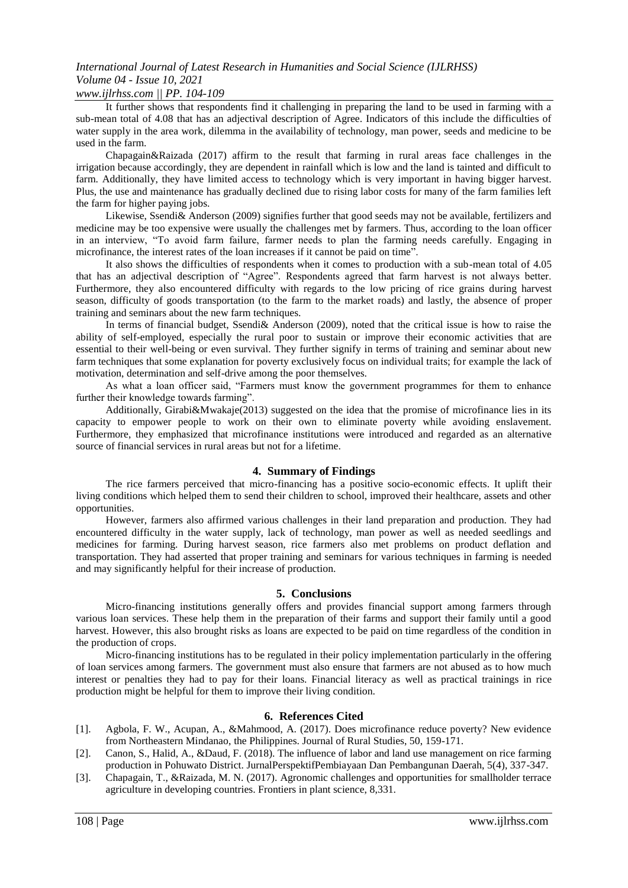#### *www.ijlrhss.com || PP. 104-109*

It further shows that respondents find it challenging in preparing the land to be used in farming with a sub-mean total of 4.08 that has an adjectival description of Agree. Indicators of this include the difficulties of water supply in the area work, dilemma in the availability of technology, man power, seeds and medicine to be used in the farm.

Chapagain&Raizada (2017) affirm to the result that farming in rural areas face challenges in the irrigation because accordingly, they are dependent in rainfall which is low and the land is tainted and difficult to farm. Additionally, they have limited access to technology which is very important in having bigger harvest. Plus, the use and maintenance has gradually declined due to rising labor costs for many of the farm families left the farm for higher paying jobs.

Likewise, Ssendi& Anderson (2009) signifies further that good seeds may not be available, fertilizers and medicine may be too expensive were usually the challenges met by farmers. Thus, according to the loan officer in an interview, "To avoid farm failure, farmer needs to plan the farming needs carefully. Engaging in microfinance, the interest rates of the loan increases if it cannot be paid on time".

It also shows the difficulties of respondents when it comes to production with a sub-mean total of 4.05 that has an adjectival description of "Agree". Respondents agreed that farm harvest is not always better. Furthermore, they also encountered difficulty with regards to the low pricing of rice grains during harvest season, difficulty of goods transportation (to the farm to the market roads) and lastly, the absence of proper training and seminars about the new farm techniques.

In terms of financial budget, Ssendi& Anderson (2009), noted that the critical issue is how to raise the ability of self-employed, especially the rural poor to sustain or improve their economic activities that are essential to their well-being or even survival. They further signify in terms of training and seminar about new farm techniques that some explanation for poverty exclusively focus on individual traits; for example the lack of motivation, determination and self-drive among the poor themselves.

As what a loan officer said, "Farmers must know the government programmes for them to enhance further their knowledge towards farming".

Additionally, Girabi&Mwakaje(2013) suggested on the idea that the promise of microfinance lies in its capacity to empower people to work on their own to eliminate poverty while avoiding enslavement. Furthermore, they emphasized that microfinance institutions were introduced and regarded as an alternative source of financial services in rural areas but not for a lifetime.

### **4. Summary of Findings**

The rice farmers perceived that micro-financing has a positive socio-economic effects. It uplift their living conditions which helped them to send their children to school, improved their healthcare, assets and other opportunities.

However, farmers also affirmed various challenges in their land preparation and production. They had encountered difficulty in the water supply, lack of technology, man power as well as needed seedlings and medicines for farming. During harvest season, rice farmers also met problems on product deflation and transportation. They had asserted that proper training and seminars for various techniques in farming is needed and may significantly helpful for their increase of production.

#### **5. Conclusions**

Micro-financing institutions generally offers and provides financial support among farmers through various loan services. These help them in the preparation of their farms and support their family until a good harvest. However, this also brought risks as loans are expected to be paid on time regardless of the condition in the production of crops.

Micro-financing institutions has to be regulated in their policy implementation particularly in the offering of loan services among farmers. The government must also ensure that farmers are not abused as to how much interest or penalties they had to pay for their loans. Financial literacy as well as practical trainings in rice production might be helpful for them to improve their living condition.

#### **6. References Cited**

- [1]. Agbola, F. W., Acupan, A., &Mahmood, A. (2017). Does microfinance reduce poverty? New evidence from Northeastern Mindanao, the Philippines. Journal of Rural Studies, 50, 159-171.
- [2]. Canon, S., Halid, A., &Daud, F. (2018). The influence of labor and land use management on rice farming production in Pohuwato District. JurnalPerspektifPembiayaan Dan Pembangunan Daerah, 5(4), 337-347.
- [3]. Chapagain, T., &Raizada, M. N. (2017). Agronomic challenges and opportunities for smallholder terrace agriculture in developing countries. Frontiers in plant science, 8,331.